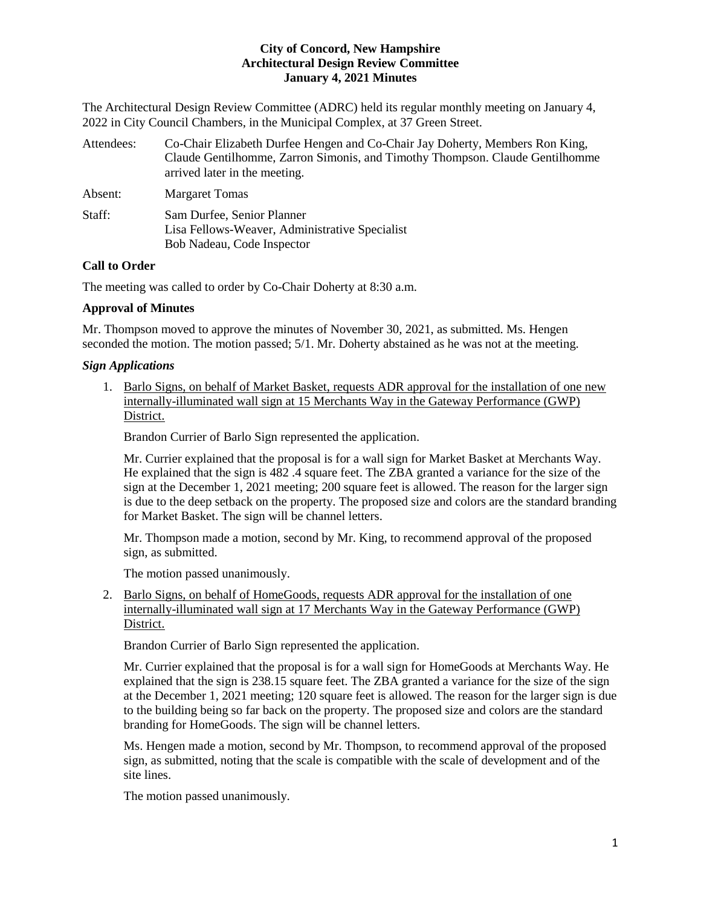The Architectural Design Review Committee (ADRC) held its regular monthly meeting on January 4, 2022 in City Council Chambers, in the Municipal Complex, at 37 Green Street.

| Attendees: | Co-Chair Elizabeth Durfee Hengen and Co-Chair Jay Doherty, Members Ron King,<br>Claude Gentilhomme, Zarron Simonis, and Timothy Thompson. Claude Gentilhomme<br>arrived later in the meeting. |
|------------|-----------------------------------------------------------------------------------------------------------------------------------------------------------------------------------------------|
| Absent:    | <b>Margaret Tomas</b>                                                                                                                                                                         |
| Staff:     | Sam Durfee, Senior Planner<br>Lisa Fellows-Weaver, Administrative Specialist<br>Bob Nadeau, Code Inspector                                                                                    |

# **Call to Order**

The meeting was called to order by Co-Chair Doherty at 8:30 a.m.

# **Approval of Minutes**

Mr. Thompson moved to approve the minutes of November 30, 2021, as submitted. Ms. Hengen seconded the motion. The motion passed; 5/1. Mr. Doherty abstained as he was not at the meeting.

# *Sign Applications*

1. Barlo Signs, on behalf of Market Basket, requests ADR approval for the installation of one new internally-illuminated wall sign at 15 Merchants Way in the Gateway Performance (GWP) District.

Brandon Currier of Barlo Sign represented the application.

Mr. Currier explained that the proposal is for a wall sign for Market Basket at Merchants Way. He explained that the sign is 482 .4 square feet. The ZBA granted a variance for the size of the sign at the December 1, 2021 meeting; 200 square feet is allowed. The reason for the larger sign is due to the deep setback on the property. The proposed size and colors are the standard branding for Market Basket. The sign will be channel letters.

Mr. Thompson made a motion, second by Mr. King, to recommend approval of the proposed sign, as submitted.

The motion passed unanimously.

2. Barlo Signs, on behalf of HomeGoods, requests ADR approval for the installation of one internally-illuminated wall sign at 17 Merchants Way in the Gateway Performance (GWP) District.

Brandon Currier of Barlo Sign represented the application.

Mr. Currier explained that the proposal is for a wall sign for HomeGoods at Merchants Way. He explained that the sign is 238.15 square feet. The ZBA granted a variance for the size of the sign at the December 1, 2021 meeting; 120 square feet is allowed. The reason for the larger sign is due to the building being so far back on the property. The proposed size and colors are the standard branding for HomeGoods. The sign will be channel letters.

Ms. Hengen made a motion, second by Mr. Thompson, to recommend approval of the proposed sign, as submitted, noting that the scale is compatible with the scale of development and of the site lines.

The motion passed unanimously.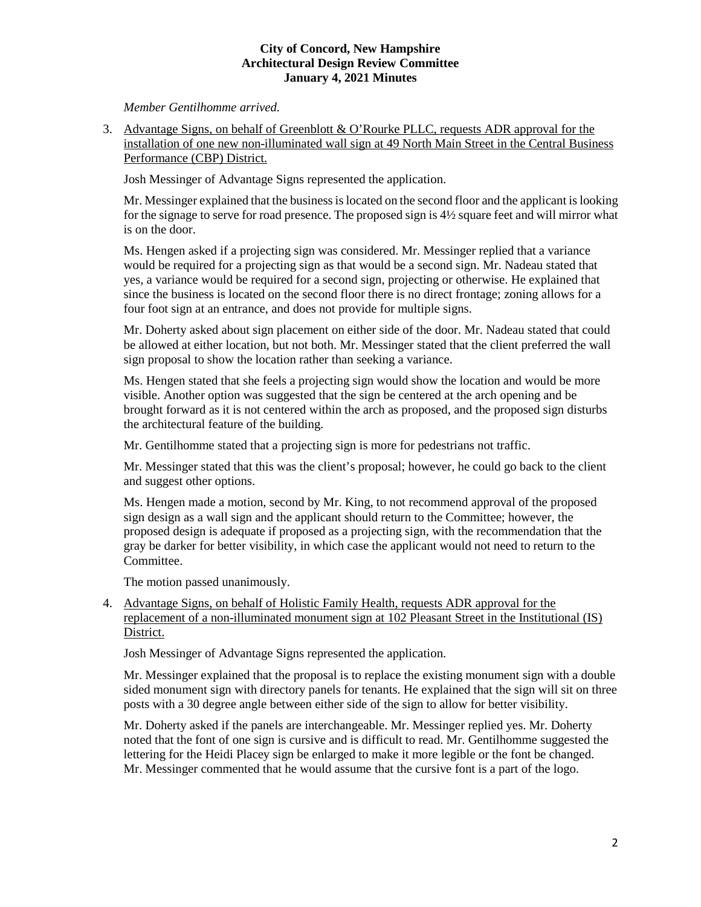*Member Gentilhomme arrived.*

3. Advantage Signs, on behalf of Greenblott & O'Rourke PLLC, requests ADR approval for the installation of one new non-illuminated wall sign at 49 North Main Street in the Central Business Performance (CBP) District.

Josh Messinger of Advantage Signs represented the application.

Mr. Messinger explained that the business is located on the second floor and the applicant is looking for the signage to serve for road presence. The proposed sign is 4½ square feet and will mirror what is on the door.

Ms. Hengen asked if a projecting sign was considered. Mr. Messinger replied that a variance would be required for a projecting sign as that would be a second sign. Mr. Nadeau stated that yes, a variance would be required for a second sign, projecting or otherwise. He explained that since the business is located on the second floor there is no direct frontage; zoning allows for a four foot sign at an entrance, and does not provide for multiple signs.

Mr. Doherty asked about sign placement on either side of the door. Mr. Nadeau stated that could be allowed at either location, but not both. Mr. Messinger stated that the client preferred the wall sign proposal to show the location rather than seeking a variance.

Ms. Hengen stated that she feels a projecting sign would show the location and would be more visible. Another option was suggested that the sign be centered at the arch opening and be brought forward as it is not centered within the arch as proposed, and the proposed sign disturbs the architectural feature of the building.

Mr. Gentilhomme stated that a projecting sign is more for pedestrians not traffic.

Mr. Messinger stated that this was the client's proposal; however, he could go back to the client and suggest other options.

Ms. Hengen made a motion, second by Mr. King, to not recommend approval of the proposed sign design as a wall sign and the applicant should return to the Committee; however, the proposed design is adequate if proposed as a projecting sign, with the recommendation that the gray be darker for better visibility, in which case the applicant would not need to return to the Committee.

The motion passed unanimously.

# 4. Advantage Signs, on behalf of Holistic Family Health, requests ADR approval for the replacement of a non-illuminated monument sign at 102 Pleasant Street in the Institutional (IS) District.

Josh Messinger of Advantage Signs represented the application.

Mr. Messinger explained that the proposal is to replace the existing monument sign with a double sided monument sign with directory panels for tenants. He explained that the sign will sit on three posts with a 30 degree angle between either side of the sign to allow for better visibility.

Mr. Doherty asked if the panels are interchangeable. Mr. Messinger replied yes. Mr. Doherty noted that the font of one sign is cursive and is difficult to read. Mr. Gentilhomme suggested the lettering for the Heidi Placey sign be enlarged to make it more legible or the font be changed. Mr. Messinger commented that he would assume that the cursive font is a part of the logo.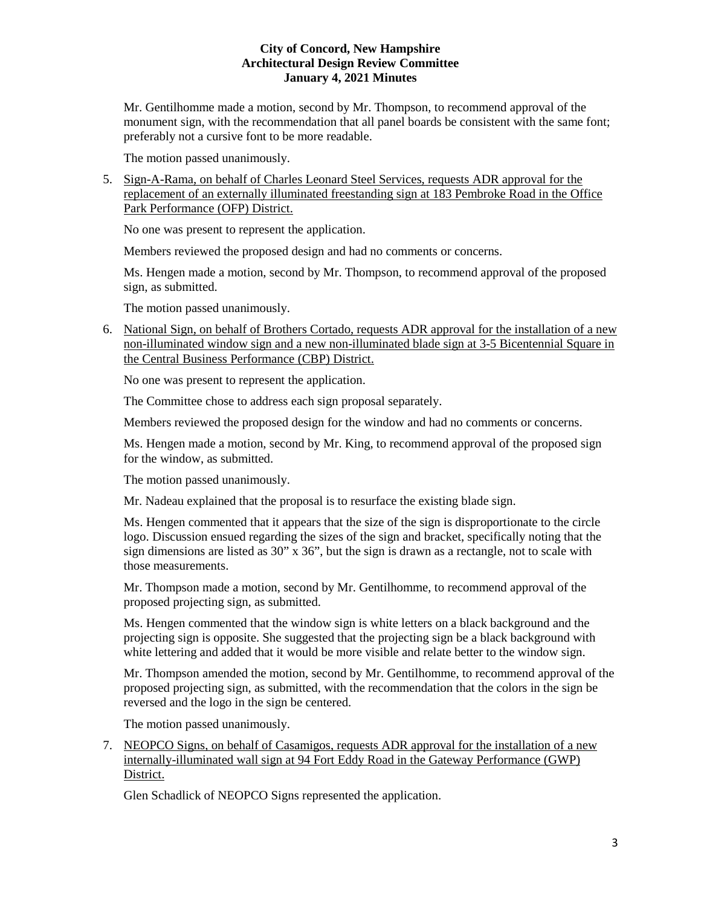Mr. Gentilhomme made a motion, second by Mr. Thompson, to recommend approval of the monument sign, with the recommendation that all panel boards be consistent with the same font; preferably not a cursive font to be more readable.

The motion passed unanimously.

5. Sign-A-Rama, on behalf of Charles Leonard Steel Services, requests ADR approval for the replacement of an externally illuminated freestanding sign at 183 Pembroke Road in the Office Park Performance (OFP) District.

No one was present to represent the application.

Members reviewed the proposed design and had no comments or concerns.

Ms. Hengen made a motion, second by Mr. Thompson, to recommend approval of the proposed sign, as submitted.

The motion passed unanimously.

6. National Sign, on behalf of Brothers Cortado, requests ADR approval for the installation of a new non-illuminated window sign and a new non-illuminated blade sign at 3-5 Bicentennial Square in the Central Business Performance (CBP) District.

No one was present to represent the application.

The Committee chose to address each sign proposal separately.

Members reviewed the proposed design for the window and had no comments or concerns.

Ms. Hengen made a motion, second by Mr. King, to recommend approval of the proposed sign for the window, as submitted.

The motion passed unanimously.

Mr. Nadeau explained that the proposal is to resurface the existing blade sign.

Ms. Hengen commented that it appears that the size of the sign is disproportionate to the circle logo. Discussion ensued regarding the sizes of the sign and bracket, specifically noting that the sign dimensions are listed as 30" x 36", but the sign is drawn as a rectangle, not to scale with those measurements.

Mr. Thompson made a motion, second by Mr. Gentilhomme, to recommend approval of the proposed projecting sign, as submitted.

Ms. Hengen commented that the window sign is white letters on a black background and the projecting sign is opposite. She suggested that the projecting sign be a black background with white lettering and added that it would be more visible and relate better to the window sign.

Mr. Thompson amended the motion, second by Mr. Gentilhomme, to recommend approval of the proposed projecting sign, as submitted, with the recommendation that the colors in the sign be reversed and the logo in the sign be centered.

The motion passed unanimously.

7. NEOPCO Signs, on behalf of Casamigos, requests ADR approval for the installation of a new internally-illuminated wall sign at 94 Fort Eddy Road in the Gateway Performance (GWP) District.

Glen Schadlick of NEOPCO Signs represented the application.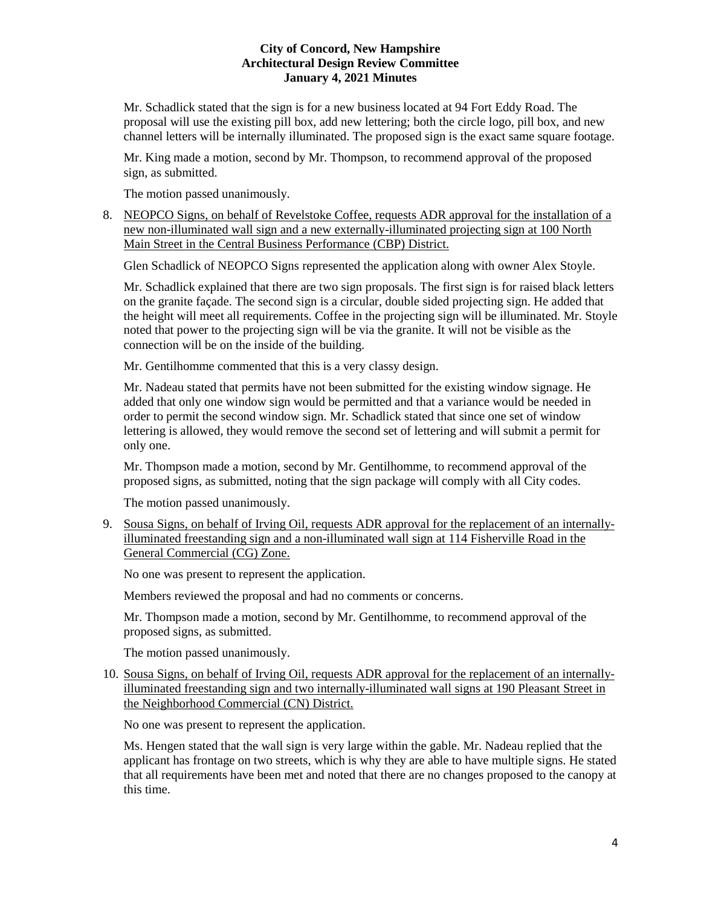Mr. Schadlick stated that the sign is for a new business located at 94 Fort Eddy Road. The proposal will use the existing pill box, add new lettering; both the circle logo, pill box, and new channel letters will be internally illuminated. The proposed sign is the exact same square footage.

Mr. King made a motion, second by Mr. Thompson, to recommend approval of the proposed sign, as submitted.

The motion passed unanimously.

8. NEOPCO Signs, on behalf of Revelstoke Coffee, requests ADR approval for the installation of a new non-illuminated wall sign and a new externally-illuminated projecting sign at 100 North Main Street in the Central Business Performance (CBP) District.

Glen Schadlick of NEOPCO Signs represented the application along with owner Alex Stoyle.

Mr. Schadlick explained that there are two sign proposals. The first sign is for raised black letters on the granite façade. The second sign is a circular, double sided projecting sign. He added that the height will meet all requirements. Coffee in the projecting sign will be illuminated. Mr. Stoyle noted that power to the projecting sign will be via the granite. It will not be visible as the connection will be on the inside of the building.

Mr. Gentilhomme commented that this is a very classy design.

Mr. Nadeau stated that permits have not been submitted for the existing window signage. He added that only one window sign would be permitted and that a variance would be needed in order to permit the second window sign. Mr. Schadlick stated that since one set of window lettering is allowed, they would remove the second set of lettering and will submit a permit for only one.

Mr. Thompson made a motion, second by Mr. Gentilhomme, to recommend approval of the proposed signs, as submitted, noting that the sign package will comply with all City codes.

The motion passed unanimously.

9. Sousa Signs, on behalf of Irving Oil, requests ADR approval for the replacement of an internallyilluminated freestanding sign and a non-illuminated wall sign at 114 Fisherville Road in the General Commercial (CG) Zone.

No one was present to represent the application.

Members reviewed the proposal and had no comments or concerns.

Mr. Thompson made a motion, second by Mr. Gentilhomme, to recommend approval of the proposed signs, as submitted.

The motion passed unanimously.

10. Sousa Signs, on behalf of Irving Oil, requests ADR approval for the replacement of an internallyilluminated freestanding sign and two internally-illuminated wall signs at 190 Pleasant Street in the Neighborhood Commercial (CN) District.

No one was present to represent the application.

Ms. Hengen stated that the wall sign is very large within the gable. Mr. Nadeau replied that the applicant has frontage on two streets, which is why they are able to have multiple signs. He stated that all requirements have been met and noted that there are no changes proposed to the canopy at this time.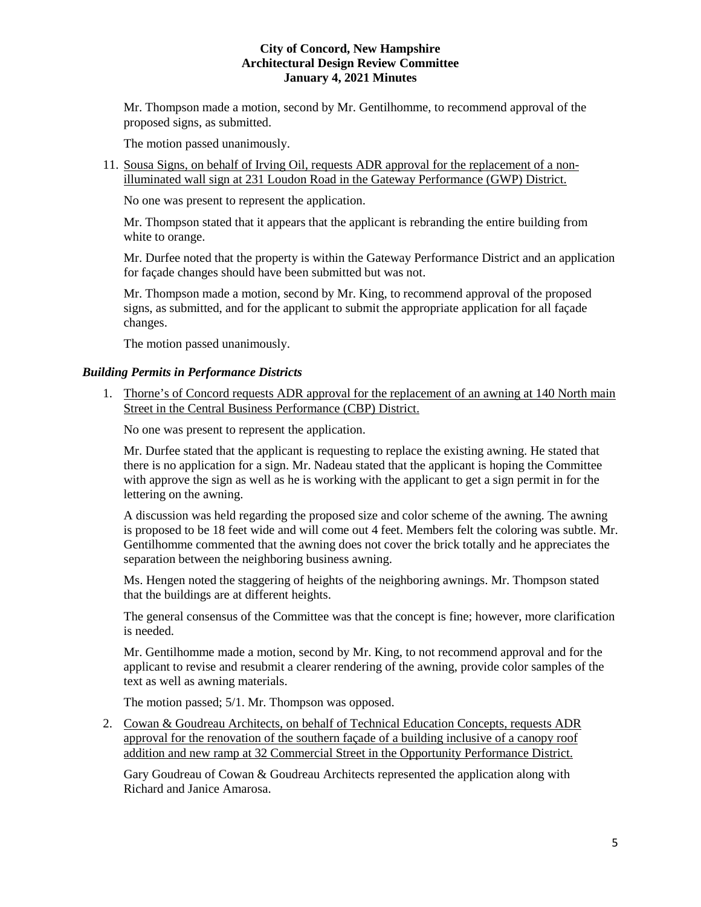Mr. Thompson made a motion, second by Mr. Gentilhomme, to recommend approval of the proposed signs, as submitted.

The motion passed unanimously.

11. Sousa Signs, on behalf of Irving Oil, requests ADR approval for the replacement of a nonilluminated wall sign at 231 Loudon Road in the Gateway Performance (GWP) District.

No one was present to represent the application.

Mr. Thompson stated that it appears that the applicant is rebranding the entire building from white to orange.

Mr. Durfee noted that the property is within the Gateway Performance District and an application for façade changes should have been submitted but was not.

Mr. Thompson made a motion, second by Mr. King, to recommend approval of the proposed signs, as submitted, and for the applicant to submit the appropriate application for all façade changes.

The motion passed unanimously.

#### *Building Permits in Performance Districts*

1. Thorne's of Concord requests ADR approval for the replacement of an awning at 140 North main Street in the Central Business Performance (CBP) District.

No one was present to represent the application.

Mr. Durfee stated that the applicant is requesting to replace the existing awning. He stated that there is no application for a sign. Mr. Nadeau stated that the applicant is hoping the Committee with approve the sign as well as he is working with the applicant to get a sign permit in for the lettering on the awning.

A discussion was held regarding the proposed size and color scheme of the awning. The awning is proposed to be 18 feet wide and will come out 4 feet. Members felt the coloring was subtle. Mr. Gentilhomme commented that the awning does not cover the brick totally and he appreciates the separation between the neighboring business awning.

Ms. Hengen noted the staggering of heights of the neighboring awnings. Mr. Thompson stated that the buildings are at different heights.

The general consensus of the Committee was that the concept is fine; however, more clarification is needed.

Mr. Gentilhomme made a motion, second by Mr. King, to not recommend approval and for the applicant to revise and resubmit a clearer rendering of the awning, provide color samples of the text as well as awning materials.

The motion passed; 5/1. Mr. Thompson was opposed.

2. Cowan & Goudreau Architects, on behalf of Technical Education Concepts, requests ADR approval for the renovation of the southern façade of a building inclusive of a canopy roof addition and new ramp at 32 Commercial Street in the Opportunity Performance District.

Gary Goudreau of Cowan & Goudreau Architects represented the application along with Richard and Janice Amarosa.